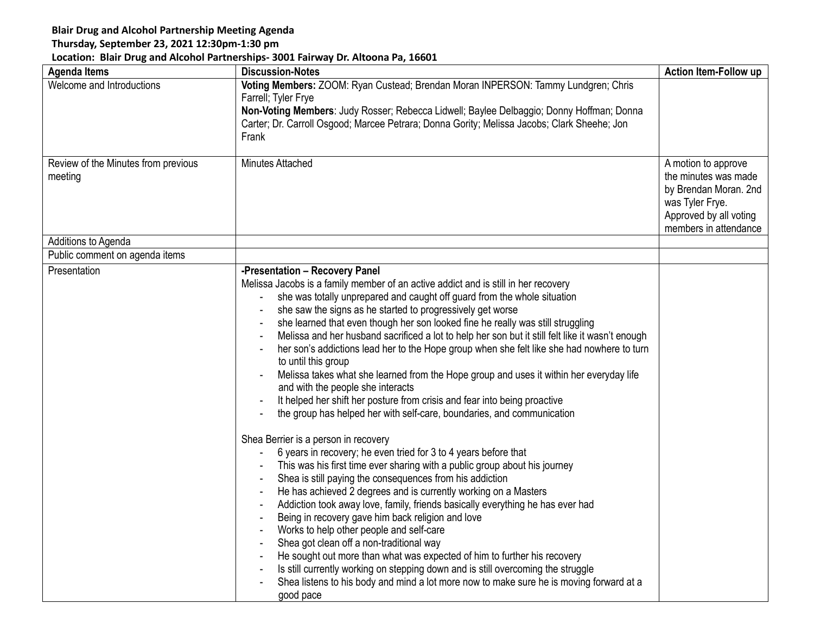## **Blair Drug and Alcohol Partnership Meeting Agenda**

## **Thursday, September 23, 2021 12:30pm-1:30 pm**

## **Location: Blair Drug and Alcohol Partnerships- 3001 Fairway Dr. Altoona Pa, 16601**

| <b>Agenda Items</b>                            | <b>Discussion-Notes</b>                                                                                                                                                                                                                                                                                                                                                                                                                                                                                                                                                                                                                                                                                                                                                                                                                                                                                                                                                                                                                                                                                                                                                                                                                                                                                                                                                                                                                                                                                                                                                                                                                                                                          | <b>Action Item-Follow up</b>                                                                                                               |
|------------------------------------------------|--------------------------------------------------------------------------------------------------------------------------------------------------------------------------------------------------------------------------------------------------------------------------------------------------------------------------------------------------------------------------------------------------------------------------------------------------------------------------------------------------------------------------------------------------------------------------------------------------------------------------------------------------------------------------------------------------------------------------------------------------------------------------------------------------------------------------------------------------------------------------------------------------------------------------------------------------------------------------------------------------------------------------------------------------------------------------------------------------------------------------------------------------------------------------------------------------------------------------------------------------------------------------------------------------------------------------------------------------------------------------------------------------------------------------------------------------------------------------------------------------------------------------------------------------------------------------------------------------------------------------------------------------------------------------------------------------|--------------------------------------------------------------------------------------------------------------------------------------------|
| Welcome and Introductions                      | Voting Members: ZOOM: Ryan Custead; Brendan Moran INPERSON: Tammy Lundgren; Chris<br>Farrell; Tyler Frye<br>Non-Voting Members: Judy Rosser; Rebecca Lidwell; Baylee Delbaggio; Donny Hoffman; Donna<br>Carter; Dr. Carroll Osgood; Marcee Petrara; Donna Gority; Melissa Jacobs; Clark Sheehe; Jon<br>Frank                                                                                                                                                                                                                                                                                                                                                                                                                                                                                                                                                                                                                                                                                                                                                                                                                                                                                                                                                                                                                                                                                                                                                                                                                                                                                                                                                                                     |                                                                                                                                            |
| Review of the Minutes from previous<br>meeting | <b>Minutes Attached</b>                                                                                                                                                                                                                                                                                                                                                                                                                                                                                                                                                                                                                                                                                                                                                                                                                                                                                                                                                                                                                                                                                                                                                                                                                                                                                                                                                                                                                                                                                                                                                                                                                                                                          | A motion to approve<br>the minutes was made<br>by Brendan Moran. 2nd<br>was Tyler Frye.<br>Approved by all voting<br>members in attendance |
| Additions to Agenda                            |                                                                                                                                                                                                                                                                                                                                                                                                                                                                                                                                                                                                                                                                                                                                                                                                                                                                                                                                                                                                                                                                                                                                                                                                                                                                                                                                                                                                                                                                                                                                                                                                                                                                                                  |                                                                                                                                            |
| Public comment on agenda items                 |                                                                                                                                                                                                                                                                                                                                                                                                                                                                                                                                                                                                                                                                                                                                                                                                                                                                                                                                                                                                                                                                                                                                                                                                                                                                                                                                                                                                                                                                                                                                                                                                                                                                                                  |                                                                                                                                            |
| Presentation                                   | -Presentation - Recovery Panel<br>Melissa Jacobs is a family member of an active addict and is still in her recovery<br>she was totally unprepared and caught off guard from the whole situation<br>she saw the signs as he started to progressively get worse<br>she learned that even though her son looked fine he really was still struggling<br>Melissa and her husband sacrificed a lot to help her son but it still felt like it wasn't enough<br>her son's addictions lead her to the Hope group when she felt like she had nowhere to turn<br>to until this group<br>Melissa takes what she learned from the Hope group and uses it within her everyday life<br>and with the people she interacts<br>It helped her shift her posture from crisis and fear into being proactive<br>the group has helped her with self-care, boundaries, and communication<br>Shea Berrier is a person in recovery<br>6 years in recovery; he even tried for 3 to 4 years before that<br>This was his first time ever sharing with a public group about his journey<br>Shea is still paying the consequences from his addiction<br>He has achieved 2 degrees and is currently working on a Masters<br>Addiction took away love, family, friends basically everything he has ever had<br>Being in recovery gave him back religion and love<br>Works to help other people and self-care<br>Shea got clean off a non-traditional way<br>He sought out more than what was expected of him to further his recovery<br>Is still currently working on stepping down and is still overcoming the struggle<br>Shea listens to his body and mind a lot more now to make sure he is moving forward at a<br>good pace |                                                                                                                                            |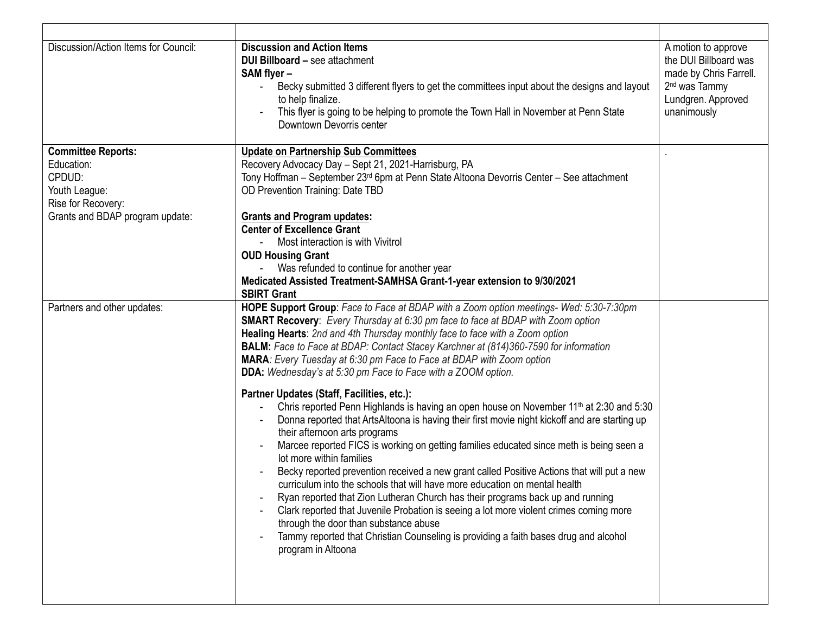| Discussion/Action Items for Council:                                                                                        | <b>Discussion and Action Items</b><br><b>DUI Billboard - see attachment</b><br>SAM flyer-<br>Becky submitted 3 different flyers to get the committees input about the designs and layout<br>to help finalize.<br>This flyer is going to be helping to promote the Town Hall in November at Penn State<br>Downtown Devorris center                                                                                                                                                                                                                                                                                                                                                                                                                                                                                                                                                                                                                                                                                                                                                                                                                                                                                                                                                                                                                                                                                                           | A motion to approve<br>the DUI Billboard was<br>made by Chris Farrell.<br>2 <sup>nd</sup> was Tammy<br>Lundgren. Approved<br>unanimously |
|-----------------------------------------------------------------------------------------------------------------------------|---------------------------------------------------------------------------------------------------------------------------------------------------------------------------------------------------------------------------------------------------------------------------------------------------------------------------------------------------------------------------------------------------------------------------------------------------------------------------------------------------------------------------------------------------------------------------------------------------------------------------------------------------------------------------------------------------------------------------------------------------------------------------------------------------------------------------------------------------------------------------------------------------------------------------------------------------------------------------------------------------------------------------------------------------------------------------------------------------------------------------------------------------------------------------------------------------------------------------------------------------------------------------------------------------------------------------------------------------------------------------------------------------------------------------------------------|------------------------------------------------------------------------------------------------------------------------------------------|
| <b>Committee Reports:</b><br>Education:<br>CPDUD:<br>Youth League:<br>Rise for Recovery:<br>Grants and BDAP program update: | <b>Update on Partnership Sub Committees</b><br>Recovery Advocacy Day - Sept 21, 2021-Harrisburg, PA<br>Tony Hoffman – September 23 <sup>rd</sup> 6pm at Penn State Altoona Devorris Center – See attachment<br>OD Prevention Training: Date TBD<br><b>Grants and Program updates:</b><br><b>Center of Excellence Grant</b><br>Most interaction is with Vivitrol<br><b>OUD Housing Grant</b><br>Was refunded to continue for another year<br>Medicated Assisted Treatment-SAMHSA Grant-1-year extension to 9/30/2021<br><b>SBIRT Grant</b>                                                                                                                                                                                                                                                                                                                                                                                                                                                                                                                                                                                                                                                                                                                                                                                                                                                                                                   |                                                                                                                                          |
| Partners and other updates:                                                                                                 | HOPE Support Group: Face to Face at BDAP with a Zoom option meetings- Wed: 5:30-7:30pm<br><b>SMART Recovery:</b> Every Thursday at 6:30 pm face to face at BDAP with Zoom option<br>Healing Hearts: 2nd and 4th Thursday monthly face to face with a Zoom option<br><b>BALM:</b> Face to Face at BDAP: Contact Stacey Karchner at (814)360-7590 for information<br>MARA: Every Tuesday at 6:30 pm Face to Face at BDAP with Zoom option<br><b>DDA:</b> Wednesday's at 5:30 pm Face to Face with a ZOOM option.<br>Partner Updates (Staff, Facilities, etc.):<br>Chris reported Penn Highlands is having an open house on November 11 <sup>th</sup> at 2:30 and 5:30<br>Donna reported that ArtsAltoona is having their first movie night kickoff and are starting up<br>their afternoon arts programs<br>Marcee reported FICS is working on getting families educated since meth is being seen a<br>lot more within families<br>Becky reported prevention received a new grant called Positive Actions that will put a new<br>curriculum into the schools that will have more education on mental health<br>Ryan reported that Zion Lutheran Church has their programs back up and running<br>Clark reported that Juvenile Probation is seeing a lot more violent crimes coming more<br>through the door than substance abuse<br>Tammy reported that Christian Counseling is providing a faith bases drug and alcohol<br>program in Altoona |                                                                                                                                          |
|                                                                                                                             |                                                                                                                                                                                                                                                                                                                                                                                                                                                                                                                                                                                                                                                                                                                                                                                                                                                                                                                                                                                                                                                                                                                                                                                                                                                                                                                                                                                                                                             |                                                                                                                                          |